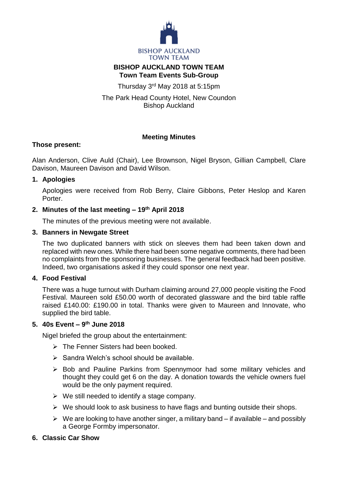

## **BISHOP AUCKLAND TOWN TEAM Town Team Events Sub-Group**

Thursday 3<sup>rd</sup> May 2018 at 5:15pm

The Park Head County Hotel, New Coundon Bishop Auckland

# **Meeting Minutes**

## **Those present:**

Alan Anderson, Clive Auld (Chair), Lee Brownson, Nigel Bryson, Gillian Campbell, Clare Davison, Maureen Davison and David Wilson.

## **1. Apologies**

Apologies were received from Rob Berry, Claire Gibbons, Peter Heslop and Karen Porter.

# **2. Minutes of the last meeting – 19th April 2018**

The minutes of the previous meeting were not available.

## **3. Banners in Newgate Street**

The two duplicated banners with stick on sleeves them had been taken down and replaced with new ones. While there had been some negative comments, there had been no complaints from the sponsoring businesses. The general feedback had been positive. Indeed, two organisations asked if they could sponsor one next year.

# **4. Food Festival**

There was a huge turnout with Durham claiming around 27,000 people visiting the Food Festival. Maureen sold £50.00 worth of decorated glassware and the bird table raffle raised £140.00: £190.00 in total. Thanks were given to Maureen and Innovate, who supplied the bird table.

## **5. 40s Event – 9 th June 2018**

Nigel briefed the group about the entertainment:

- $\triangleright$  The Fenner Sisters had been booked.
- $\triangleright$  Sandra Welch's school should be available.
- $\triangleright$  Bob and Pauline Parkins from Spennymoor had some military vehicles and thought they could get 6 on the day. A donation towards the vehicle owners fuel would be the only payment required.
- $\triangleright$  We still needed to identify a stage company.
- $\triangleright$  We should look to ask business to have flags and bunting outside their shops.
- $\triangleright$  We are looking to have another singer, a military band if available and possibly a George Formby impersonator.

# **6. Classic Car Show**